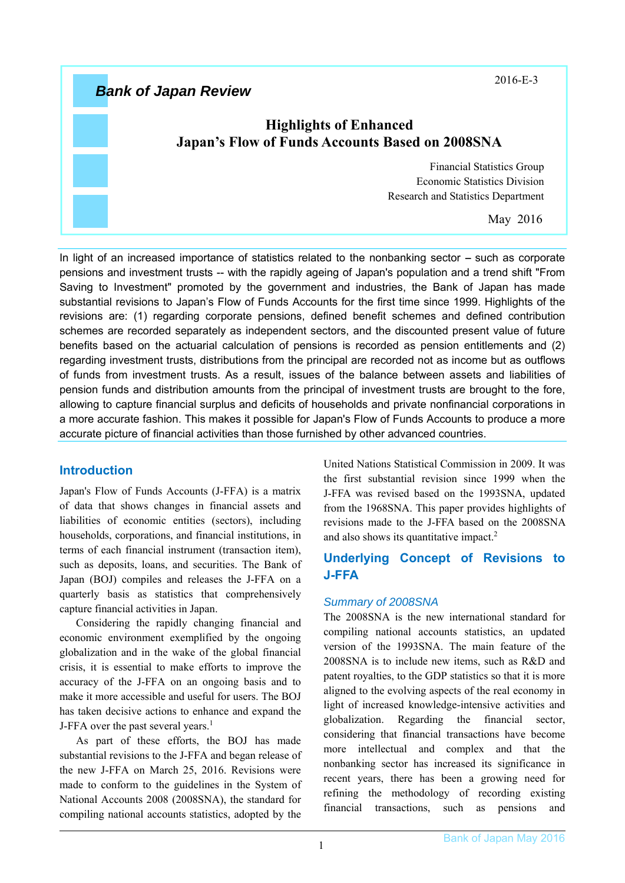2016-E-3

# *Bank of Japan Review*

## **Highlights of Enhanced Japan's Flow of Funds Accounts Based on 2008SNA**

Financial Statistics Group Economic Statistics Division Research and Statistics Department

May 2016

In light of an increased importance of statistics related to the nonbanking sector - such as corporate pensions and investment trusts -- with the rapidly ageing of Japan's population and a trend shift "From Saving to Investment" promoted by the government and industries, the Bank of Japan has made substantial revisions to Japan's Flow of Funds Accounts for the first time since 1999. Highlights of the revisions are: (1) regarding corporate pensions, defined benefit schemes and defined contribution schemes are recorded separately as independent sectors, and the discounted present value of future benefits based on the actuarial calculation of pensions is recorded as pension entitlements and (2) regarding investment trusts, distributions from the principal are recorded not as income but as outflows of funds from investment trusts. As a result, issues of the balance between assets and liabilities of pension funds and distribution amounts from the principal of investment trusts are brought to the fore, allowing to capture financial surplus and deficits of households and private nonfinancial corporations in a more accurate fashion. This makes it possible for Japan's Flow of Funds Accounts to produce a more accurate picture of financial activities than those furnished by other advanced countries.

### **Introduction**

Japan's Flow of Funds Accounts (J-FFA) is a matrix of data that shows changes in financial assets and liabilities of economic entities (sectors), including households, corporations, and financial institutions, in terms of each financial instrument (transaction item), such as deposits, loans, and securities. The Bank of Japan (BOJ) compiles and releases the J-FFA on a quarterly basis as statistics that comprehensively capture financial activities in Japan.

Considering the rapidly changing financial and economic environment exemplified by the ongoing globalization and in the wake of the global financial crisis, it is essential to make efforts to improve the accuracy of the J-FFA on an ongoing basis and to make it more accessible and useful for users. The BOJ has taken decisive actions to enhance and expand the J-FFA over the past several years.<sup>1</sup>

As part of these efforts, the BOJ has made substantial revisions to the J-FFA and began release of the new J-FFA on March 25, 2016. Revisions were made to conform to the guidelines in the System of National Accounts 2008 (2008SNA), the standard for compiling national accounts statistics, adopted by the

United Nations Statistical Commission in 2009. It was the first substantial revision since 1999 when the J-FFA was revised based on the 1993SNA, updated from the 1968SNA. This paper provides highlights of revisions made to the J-FFA based on the 2008SNA and also shows its quantitative impact.2

## **Underlying Concept of Revisions to J-FFA**

### *Summary of 2008SNA*

The 2008SNA is the new international standard for compiling national accounts statistics, an updated version of the 1993SNA. The main feature of the 2008SNA is to include new items, such as R&D and patent royalties, to the GDP statistics so that it is more aligned to the evolving aspects of the real economy in light of increased knowledge-intensive activities and globalization. Regarding the financial sector, considering that financial transactions have become more intellectual and complex and that the nonbanking sector has increased its significance in recent years, there has been a growing need for refining the methodology of recording existing financial transactions, such as pensions and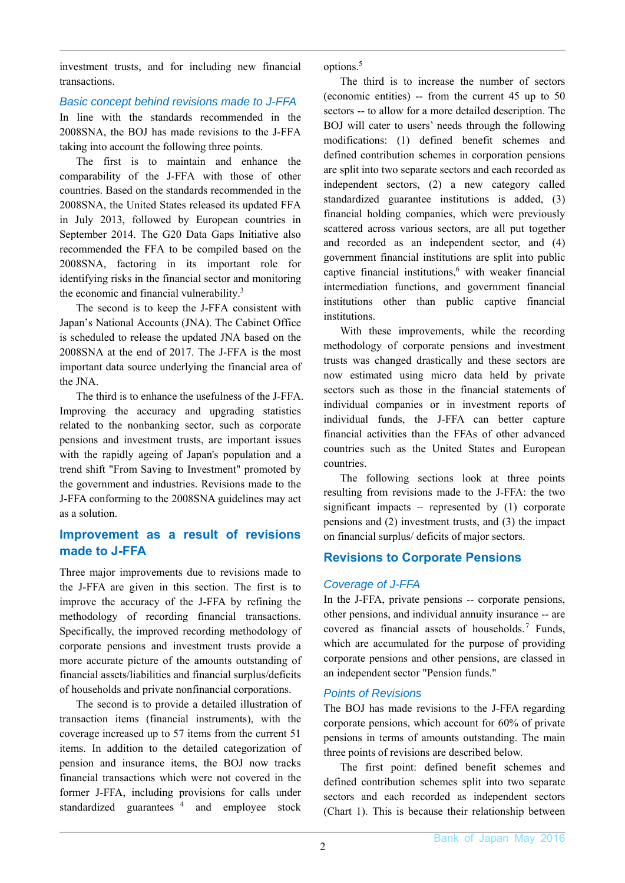investment trusts, and for including new financial transactions.

#### *Basic concept behind revisions made to J-FFA*  In line with the standards recommended in the 2008SNA, the BOJ has made revisions to the J-FFA taking into account the following three points.

The first is to maintain and enhance the comparability of the J-FFA with those of other countries. Based on the standards recommended in the 2008SNA, the United States released its updated FFA in July 2013, followed by European countries in September 2014. The G20 Data Gaps Initiative also recommended the FFA to be compiled based on the 2008SNA, factoring in its important role for identifying risks in the financial sector and monitoring the economic and financial vulnerability.<sup>3</sup>

The second is to keep the J-FFA consistent with Japan's National Accounts (JNA). The Cabinet Office is scheduled to release the updated JNA based on the 2008SNA at the end of 2017. The J-FFA is the most important data source underlying the financial area of the JNA.

The third is to enhance the usefulness of the J-FFA. Improving the accuracy and upgrading statistics related to the nonbanking sector, such as corporate pensions and investment trusts, are important issues with the rapidly ageing of Japan's population and a trend shift "From Saving to Investment" promoted by the government and industries. Revisions made to the J-FFA conforming to the 2008SNA guidelines may act as a solution.

## **Improvement as a result of revisions made to J-FFA**

Three major improvements due to revisions made to the J-FFA are given in this section. The first is to improve the accuracy of the J-FFA by refining the methodology of recording financial transactions. Specifically, the improved recording methodology of corporate pensions and investment trusts provide a more accurate picture of the amounts outstanding of financial assets/liabilities and financial surplus/deficits of households and private nonfinancial corporations.

The second is to provide a detailed illustration of transaction items (financial instruments), with the coverage increased up to 57 items from the current 51 items. In addition to the detailed categorization of pension and insurance items, the BOJ now tracks financial transactions which were not covered in the former J-FFA, including provisions for calls under standardized guarantees<sup>4</sup> and employee stock

options.<sup>5</sup>

The third is to increase the number of sectors (economic entities) -- from the current 45 up to 50 sectors -- to allow for a more detailed description. The BOJ will cater to users' needs through the following modifications: (1) defined benefit schemes and defined contribution schemes in corporation pensions are split into two separate sectors and each recorded as independent sectors, (2) a new category called standardized guarantee institutions is added, (3) financial holding companies, which were previously scattered across various sectors, are all put together and recorded as an independent sector, and (4) government financial institutions are split into public captive financial institutions,<sup>6</sup> with weaker financial intermediation functions, and government financial institutions other than public captive financial institutions.

With these improvements, while the recording methodology of corporate pensions and investment trusts was changed drastically and these sectors are now estimated using micro data held by private sectors such as those in the financial statements of individual companies or in investment reports of individual funds, the J-FFA can better capture financial activities than the FFAs of other advanced countries such as the United States and European countries.

The following sections look at three points resulting from revisions made to the J-FFA: the two significant impacts – represented by (1) corporate pensions and (2) investment trusts, and (3) the impact on financial surplus/ deficits of major sectors.

## **Revisions to Corporate Pensions**

### *Coverage of J-FFA*

In the J-FFA, private pensions -- corporate pensions, other pensions, and individual annuity insurance -- are covered as financial assets of households.<sup>7</sup> Funds, which are accumulated for the purpose of providing corporate pensions and other pensions, are classed in an independent sector "Pension funds."

### *Points of Revisions*

The BOJ has made revisions to the J-FFA regarding corporate pensions, which account for 60% of private pensions in terms of amounts outstanding. The main three points of revisions are described below.

The first point: defined benefit schemes and defined contribution schemes split into two separate sectors and each recorded as independent sectors (Chart 1). This is because their relationship between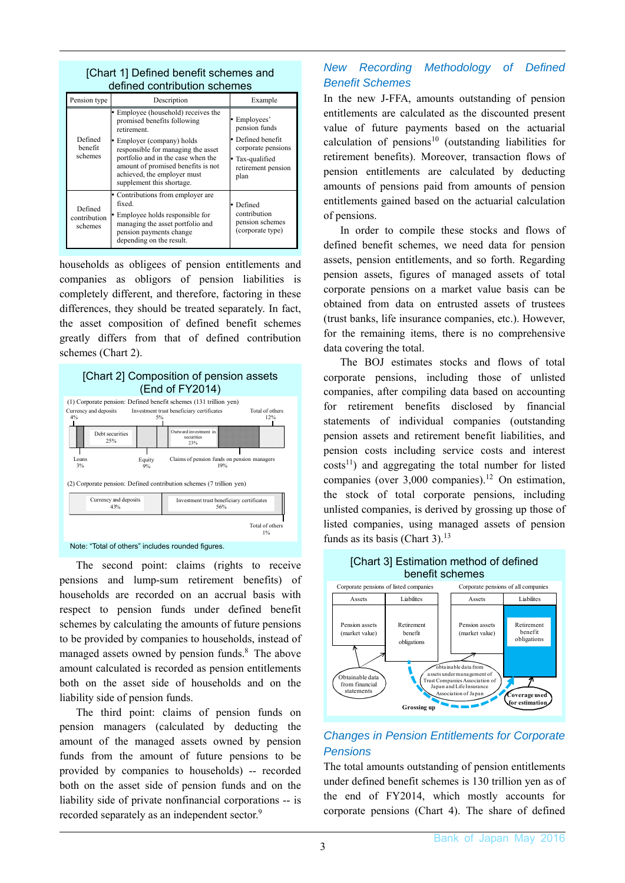| <u>ionair il neilieg neileili scrieilles and</u><br>defined contribution schemes |                                                                                                                                                                                                                                                                                           |                                                                                                                       |
|----------------------------------------------------------------------------------|-------------------------------------------------------------------------------------------------------------------------------------------------------------------------------------------------------------------------------------------------------------------------------------------|-----------------------------------------------------------------------------------------------------------------------|
| Pension type                                                                     | Description                                                                                                                                                                                                                                                                               | Example                                                                                                               |
| Defined<br>benefit<br>schemes                                                    | Employee (household) receives the<br>promised benefits following<br>retirement.<br>Employer (company) holds<br>responsible for managing the asset<br>portfolio and in the case when the<br>amount of promised benefits is not<br>achieved, the employer must<br>supplement this shortage. | Employees'<br>pension funds<br>• Defined benefit<br>corporate pensions<br>Tax-qualified<br>retirement pension<br>plan |
| Defined<br>contribution<br>schemes                                               | • Contributions from employer are<br>fixed.<br>• Employee holds responsible for<br>managing the asset portfolio and<br>pension payments change<br>depending on the result.                                                                                                                | Defined<br>l۰<br>contribution<br>pension schemes<br>(corporate type)                                                  |

[Chart 1] Defined benefit schemes and

households as obligees of pension entitlements and companies as obligors of pension liabilities is completely different, and therefore, factoring in these differences, they should be treated separately. In fact, the asset composition of defined benefit schemes greatly differs from that of defined contribution schemes (Chart 2).



The second point: claims (rights to receive pensions and lump-sum retirement benefits) of households are recorded on an accrual basis with respect to pension funds under defined benefit schemes by calculating the amounts of future pensions to be provided by companies to households, instead of managed assets owned by pension funds.<sup>8</sup> The above amount calculated is recorded as pension entitlements both on the asset side of households and on the liability side of pension funds.

The third point: claims of pension funds on pension managers (calculated by deducting the amount of the managed assets owned by pension funds from the amount of future pensions to be provided by companies to households) -- recorded both on the asset side of pension funds and on the liability side of private nonfinancial corporations -- is recorded separately as an independent sector.<sup>9</sup>

### *New Recording Methodology of Defined Benefit Schemes*

In the new J-FFA, amounts outstanding of pension entitlements are calculated as the discounted present value of future payments based on the actuarial calculation of pensions<sup>10</sup> (outstanding liabilities for retirement benefits). Moreover, transaction flows of pension entitlements are calculated by deducting amounts of pensions paid from amounts of pension entitlements gained based on the actuarial calculation of pensions.

In order to compile these stocks and flows of defined benefit schemes, we need data for pension assets, pension entitlements, and so forth. Regarding pension assets, figures of managed assets of total corporate pensions on a market value basis can be obtained from data on entrusted assets of trustees (trust banks, life insurance companies, etc.). However, for the remaining items, there is no comprehensive data covering the total.

The BOJ estimates stocks and flows of total corporate pensions, including those of unlisted companies, after compiling data based on accounting for retirement benefits disclosed by financial statements of individual companies (outstanding pension assets and retirement benefit liabilities, and pension costs including service costs and interest  $costs<sup>11</sup>$  and aggregating the total number for listed companies (over  $3,000$  companies).<sup>12</sup> On estimation, the stock of total corporate pensions, including unlisted companies, is derived by grossing up those of listed companies, using managed assets of pension funds as its basis (Chart 3).<sup>13</sup>



## *Changes in Pension Entitlements for Corporate Pensions*

The total amounts outstanding of pension entitlements under defined benefit schemes is 130 trillion yen as of the end of FY2014, which mostly accounts for corporate pensions (Chart 4). The share of defined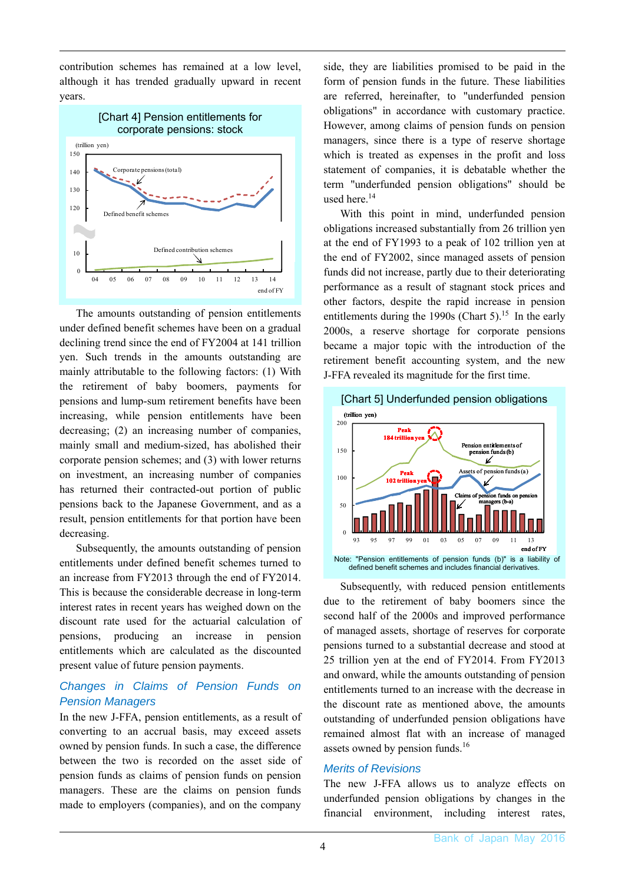contribution schemes has remained at a low level, although it has trended gradually upward in recent years.



The amounts outstanding of pension entitlements under defined benefit schemes have been on a gradual declining trend since the end of FY2004 at 141 trillion yen. Such trends in the amounts outstanding are mainly attributable to the following factors: (1) With the retirement of baby boomers, payments for pensions and lump-sum retirement benefits have been increasing, while pension entitlements have been decreasing; (2) an increasing number of companies, mainly small and medium-sized, has abolished their corporate pension schemes; and (3) with lower returns on investment, an increasing number of companies has returned their contracted-out portion of public pensions back to the Japanese Government, and as a result, pension entitlements for that portion have been decreasing.

Subsequently, the amounts outstanding of pension entitlements under defined benefit schemes turned to an increase from FY2013 through the end of FY2014. This is because the considerable decrease in long-term interest rates in recent years has weighed down on the discount rate used for the actuarial calculation of pensions, producing an increase in pension entitlements which are calculated as the discounted present value of future pension payments.

### *Changes in Claims of Pension Funds on Pension Managers*

In the new J-FFA, pension entitlements, as a result of converting to an accrual basis, may exceed assets owned by pension funds. In such a case, the difference between the two is recorded on the asset side of pension funds as claims of pension funds on pension managers. These are the claims on pension funds made to employers (companies), and on the company

side, they are liabilities promised to be paid in the form of pension funds in the future. These liabilities are referred, hereinafter, to "underfunded pension obligations" in accordance with customary practice. However, among claims of pension funds on pension managers, since there is a type of reserve shortage which is treated as expenses in the profit and loss statement of companies, it is debatable whether the term "underfunded pension obligations" should be used here.<sup>14</sup>

With this point in mind, underfunded pension obligations increased substantially from 26 trillion yen at the end of FY1993 to a peak of 102 trillion yen at the end of FY2002, since managed assets of pension funds did not increase, partly due to their deteriorating performance as a result of stagnant stock prices and other factors, despite the rapid increase in pension entitlements during the 1990s (Chart 5).<sup>15</sup> In the early 2000s, a reserve shortage for corporate pensions became a major topic with the introduction of the retirement benefit accounting system, and the new J-FFA revealed its magnitude for the first time.



Subsequently, with reduced pension entitlements due to the retirement of baby boomers since the second half of the 2000s and improved performance of managed assets, shortage of reserves for corporate pensions turned to a substantial decrease and stood at 25 trillion yen at the end of FY2014. From FY2013 and onward, while the amounts outstanding of pension entitlements turned to an increase with the decrease in the discount rate as mentioned above, the amounts outstanding of underfunded pension obligations have remained almost flat with an increase of managed assets owned by pension funds.<sup>16</sup>

### *Merits of Revisions*

The new J-FFA allows us to analyze effects on underfunded pension obligations by changes in the financial environment, including interest rates,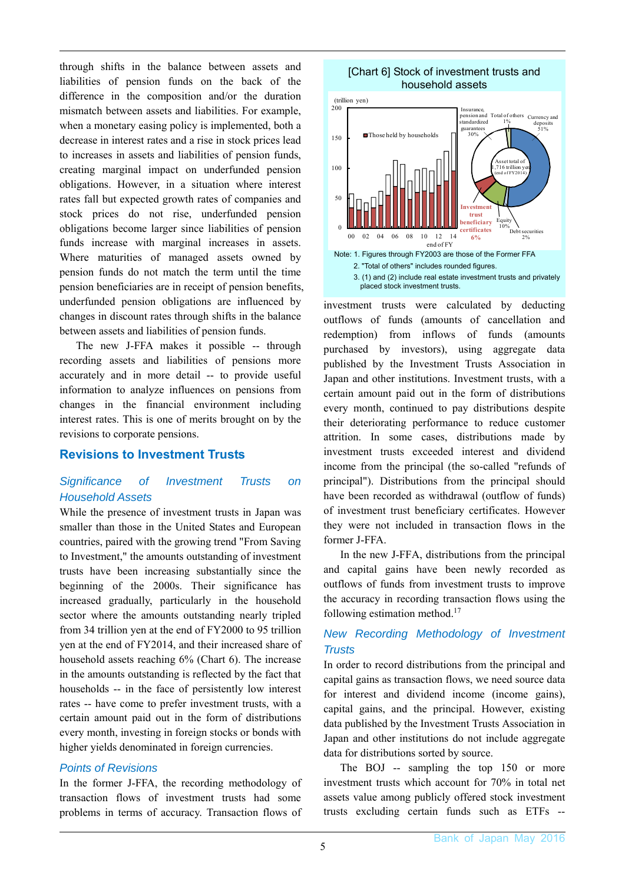through shifts in the balance between assets and liabilities of pension funds on the back of the difference in the composition and/or the duration mismatch between assets and liabilities. For example, when a monetary easing policy is implemented, both a decrease in interest rates and a rise in stock prices lead to increases in assets and liabilities of pension funds, creating marginal impact on underfunded pension obligations. However, in a situation where interest rates fall but expected growth rates of companies and stock prices do not rise, underfunded pension obligations become larger since liabilities of pension funds increase with marginal increases in assets. Where maturities of managed assets owned by pension funds do not match the term until the time pension beneficiaries are in receipt of pension benefits, underfunded pension obligations are influenced by changes in discount rates through shifts in the balance between assets and liabilities of pension funds.

The new J-FFA makes it possible -- through recording assets and liabilities of pensions more accurately and in more detail -- to provide useful information to analyze influences on pensions from changes in the financial environment including interest rates. This is one of merits brought on by the revisions to corporate pensions.

#### **Revisions to Investment Trusts**

### *Significance of Investment Trusts on Household Assets*

While the presence of investment trusts in Japan was smaller than those in the United States and European countries, paired with the growing trend "From Saving to Investment," the amounts outstanding of investment trusts have been increasing substantially since the beginning of the 2000s. Their significance has increased gradually, particularly in the household sector where the amounts outstanding nearly tripled from 34 trillion yen at the end of FY2000 to 95 trillion yen at the end of FY2014, and their increased share of household assets reaching 6% (Chart 6). The increase in the amounts outstanding is reflected by the fact that households -- in the face of persistently low interest rates -- have come to prefer investment trusts, with a certain amount paid out in the form of distributions every month, investing in foreign stocks or bonds with higher yields denominated in foreign currencies.

#### *Points of Revisions*

In the former J-FFA, the recording methodology of transaction flows of investment trusts had some problems in terms of accuracy. Transaction flows of

[Chart 6] Stock of investment trusts and household assets



investment trusts were calculated by deducting outflows of funds (amounts of cancellation and redemption) from inflows of funds (amounts purchased by investors), using aggregate data published by the Investment Trusts Association in Japan and other institutions. Investment trusts, with a certain amount paid out in the form of distributions every month, continued to pay distributions despite their deteriorating performance to reduce customer attrition. In some cases, distributions made by investment trusts exceeded interest and dividend income from the principal (the so-called "refunds of principal"). Distributions from the principal should have been recorded as withdrawal (outflow of funds) of investment trust beneficiary certificates. However they were not included in transaction flows in the former J-FFA.

In the new J-FFA, distributions from the principal and capital gains have been newly recorded as outflows of funds from investment trusts to improve the accuracy in recording transaction flows using the following estimation method.17

### *New Recording Methodology of Investment Trusts*

In order to record distributions from the principal and capital gains as transaction flows, we need source data for interest and dividend income (income gains), capital gains, and the principal. However, existing data published by the Investment Trusts Association in Japan and other institutions do not include aggregate data for distributions sorted by source.

The BOJ -- sampling the top 150 or more investment trusts which account for 70% in total net assets value among publicly offered stock investment trusts excluding certain funds such as ETFs --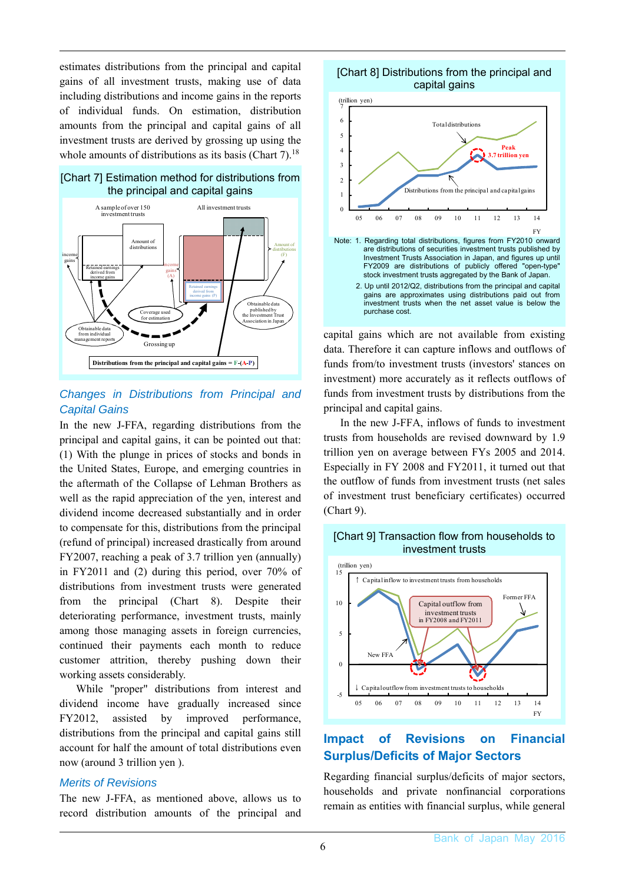estimates distributions from the principal and capital gains of all investment trusts, making use of data including distributions and income gains in the reports of individual funds. On estimation, distribution amounts from the principal and capital gains of all investment trusts are derived by grossing up using the whole amounts of distributions as its basis (Chart 7).<sup>18</sup>





### *Changes in Distributions from Principal and Capital Gains*

In the new J-FFA, regarding distributions from the principal and capital gains, it can be pointed out that: (1) With the plunge in prices of stocks and bonds in the United States, Europe, and emerging countries in the aftermath of the Collapse of Lehman Brothers as well as the rapid appreciation of the yen, interest and dividend income decreased substantially and in order to compensate for this, distributions from the principal (refund of principal) increased drastically from around FY2007, reaching a peak of 3.7 trillion yen (annually) in FY2011 and (2) during this period, over 70% of distributions from investment trusts were generated from the principal (Chart 8). Despite their deteriorating performance, investment trusts, mainly among those managing assets in foreign currencies, continued their payments each month to reduce customer attrition, thereby pushing down their working assets considerably.

While "proper" distributions from interest and dividend income have gradually increased since FY2012, assisted by improved performance, distributions from the principal and capital gains still account for half the amount of total distributions even now (around 3 trillion yen ).

#### *Merits of Revisions*

The new J-FFA, as mentioned above, allows us to record distribution amounts of the principal and

#### [Chart 8] Distributions from the principal and capital gains



capital gains which are not available from existing data. Therefore it can capture inflows and outflows of funds from/to investment trusts (investors' stances on investment) more accurately as it reflects outflows of funds from investment trusts by distributions from the principal and capital gains.

In the new J-FFA, inflows of funds to investment trusts from households are revised downward by 1.9 trillion yen on average between FYs 2005 and 2014. Especially in FY 2008 and FY2011, it turned out that the outflow of funds from investment trusts (net sales of investment trust beneficiary certificates) occurred (Chart 9).

#### [Chart 9] Transaction flow from households to investment trusts



## **Impact of Revisions on Financial Surplus/Deficits of Major Sectors**

Regarding financial surplus/deficits of major sectors, households and private nonfinancial corporations remain as entities with financial surplus, while general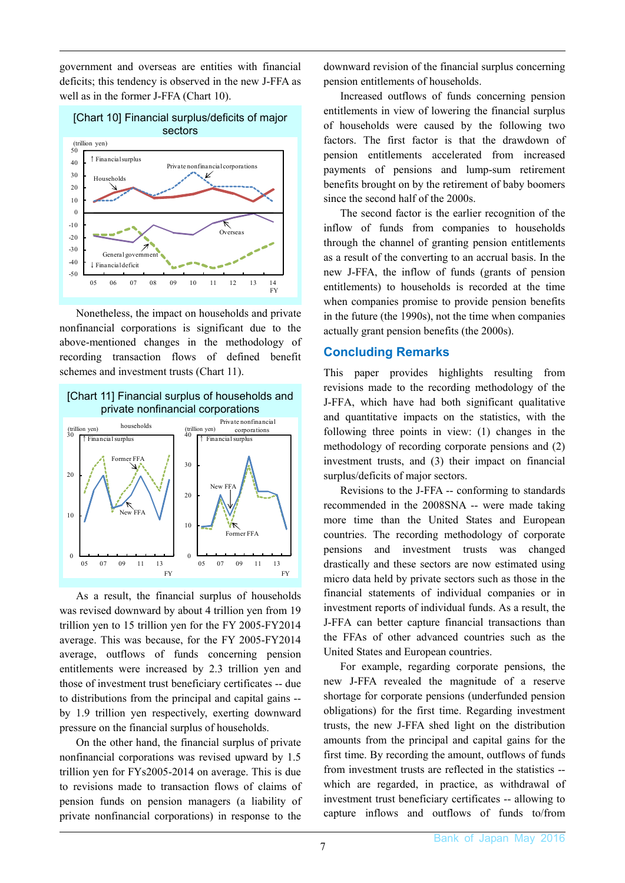government and overseas are entities with financial deficits; this tendency is observed in the new J-FFA as well as in the former J-FFA (Chart 10).



Nonetheless, the impact on households and private nonfinancial corporations is significant due to the above-mentioned changes in the methodology of recording transaction flows of defined benefit schemes and investment trusts (Chart 11).



As a result, the financial surplus of households was revised downward by about 4 trillion yen from 19 trillion yen to 15 trillion yen for the FY 2005-FY2014 average. This was because, for the FY 2005-FY2014 average, outflows of funds concerning pension entitlements were increased by 2.3 trillion yen and those of investment trust beneficiary certificates -- due to distributions from the principal and capital gains - by 1.9 trillion yen respectively, exerting downward pressure on the financial surplus of households.

On the other hand, the financial surplus of private nonfinancial corporations was revised upward by 1.5 trillion yen for FYs2005-2014 on average. This is due to revisions made to transaction flows of claims of pension funds on pension managers (a liability of private nonfinancial corporations) in response to the downward revision of the financial surplus concerning pension entitlements of households.

Increased outflows of funds concerning pension entitlements in view of lowering the financial surplus of households were caused by the following two factors. The first factor is that the drawdown of pension entitlements accelerated from increased payments of pensions and lump-sum retirement benefits brought on by the retirement of baby boomers since the second half of the 2000s.

The second factor is the earlier recognition of the inflow of funds from companies to households through the channel of granting pension entitlements as a result of the converting to an accrual basis. In the new J-FFA, the inflow of funds (grants of pension entitlements) to households is recorded at the time when companies promise to provide pension benefits in the future (the 1990s), not the time when companies actually grant pension benefits (the 2000s).

#### **Concluding Remarks**

This paper provides highlights resulting from revisions made to the recording methodology of the J-FFA, which have had both significant qualitative and quantitative impacts on the statistics, with the following three points in view: (1) changes in the methodology of recording corporate pensions and (2) investment trusts, and (3) their impact on financial surplus/deficits of major sectors.

Revisions to the J-FFA -- conforming to standards recommended in the 2008SNA -- were made taking more time than the United States and European countries. The recording methodology of corporate pensions and investment trusts was changed drastically and these sectors are now estimated using micro data held by private sectors such as those in the financial statements of individual companies or in investment reports of individual funds. As a result, the J-FFA can better capture financial transactions than the FFAs of other advanced countries such as the United States and European countries.

For example, regarding corporate pensions, the new J-FFA revealed the magnitude of a reserve shortage for corporate pensions (underfunded pension obligations) for the first time. Regarding investment trusts, the new J-FFA shed light on the distribution amounts from the principal and capital gains for the first time. By recording the amount, outflows of funds from investment trusts are reflected in the statistics - which are regarded, in practice, as withdrawal of investment trust beneficiary certificates -- allowing to capture inflows and outflows of funds to/from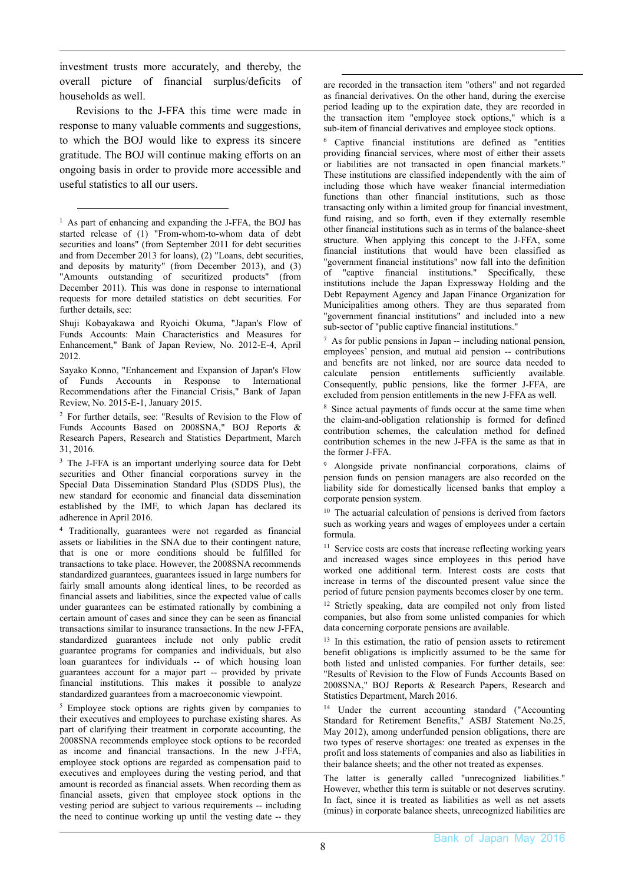investment trusts more accurately, and thereby, the overall picture of financial surplus/deficits of households as well.

Revisions to the J-FFA this time were made in response to many valuable comments and suggestions, to which the BOJ would like to express its sincere gratitude. The BOJ will continue making efforts on an ongoing basis in order to provide more accessible and useful statistics to all our users.

5 Employee stock options are rights given by companies to their executives and employees to purchase existing shares. As part of clarifying their treatment in corporate accounting, the 2008SNA recommends employee stock options to be recorded as income and financial transactions. In the new J-FFA, employee stock options are regarded as compensation paid to executives and employees during the vesting period, and that amount is recorded as financial assets. When recording them as financial assets, given that employee stock options in the vesting period are subject to various requirements -- including the need to continue working up until the vesting date -- they are recorded in the transaction item "others" and not regarded as financial derivatives. On the other hand, during the exercise period leading up to the expiration date, they are recorded in the transaction item "employee stock options," which is a sub-item of financial derivatives and employee stock options.

6 Captive financial institutions are defined as "entities providing financial services, where most of either their assets or liabilities are not transacted in open financial markets." These institutions are classified independently with the aim of including those which have weaker financial intermediation functions than other financial institutions, such as those transacting only within a limited group for financial investment, fund raising, and so forth, even if they externally resemble other financial institutions such as in terms of the balance-sheet structure. When applying this concept to the J-FFA, some financial institutions that would have been classified as "government financial institutions" now fall into the definition of "captive financial institutions." Specifically, these institutions include the Japan Expressway Holding and the Debt Repayment Agency and Japan Finance Organization for Municipalities among others. They are thus separated from "government financial institutions" and included into a new sub-sector of "public captive financial institutions."

 $<sup>7</sup>$  As for public pensions in Japan -- including national pension,</sup> employees' pension, and mutual aid pension -- contributions and benefits are not linked, nor are source data needed to calculate pension entitlements sufficiently available. Consequently, public pensions, like the former J-FFA, are excluded from pension entitlements in the new J-FFA as well.

8 Since actual payments of funds occur at the same time when the claim-and-obligation relationship is formed for defined contribution schemes, the calculation method for defined contribution schemes in the new J-FFA is the same as that in the former J-FFA.

9 Alongside private nonfinancial corporations, claims of pension funds on pension managers are also recorded on the liability side for domestically licensed banks that employ a corporate pension system.

 $10$  The actuarial calculation of pensions is derived from factors such as working years and wages of employees under a certain formula.

<sup>11</sup> Service costs are costs that increase reflecting working years and increased wages since employees in this period have worked one additional term. Interest costs are costs that increase in terms of the discounted present value since the period of future pension payments becomes closer by one term.

<sup>12</sup> Strictly speaking, data are compiled not only from listed companies, but also from some unlisted companies for which data concerning corporate pensions are available.

<sup>13</sup> In this estimation, the ratio of pension assets to retirement benefit obligations is implicitly assumed to be the same for both listed and unlisted companies. For further details, see: "Results of Revision to the Flow of Funds Accounts Based on 2008SNA," BOJ Reports & Research Papers, Research and Statistics Department, March 2016.

14 Under the current accounting standard ("Accounting Standard for Retirement Benefits," ASBJ Statement No.25, May 2012), among underfunded pension obligations, there are two types of reserve shortages: one treated as expenses in the profit and loss statements of companies and also as liabilities in their balance sheets; and the other not treated as expenses.

The latter is generally called "unrecognized liabilities." However, whether this term is suitable or not deserves scrutiny. In fact, since it is treated as liabilities as well as net assets (minus) in corporate balance sheets, unrecognized liabilities are

<sup>&</sup>lt;sup>1</sup> As part of enhancing and expanding the J-FFA, the BOJ has started release of (1) "From-whom-to-whom data of debt securities and loans" (from September 2011 for debt securities and from December 2013 for loans), (2) "Loans, debt securities, and deposits by maturity" (from December 2013), and (3) "Amounts outstanding of securitized products" (from December 2011). This was done in response to international requests for more detailed statistics on debt securities. For further details, see:

Shuji Kobayakawa and Ryoichi Okuma, "Japan's Flow of Funds Accounts: Main Characteristics and Measures for Enhancement," Bank of Japan Review, No. 2012-E-4, April 2012.

Sayako Konno, "Enhancement and Expansion of Japan's Flow of Funds Accounts in Response to International Recommendations after the Financial Crisis," Bank of Japan Review, No. 2015-E-1, January 2015.

<sup>2</sup> For further details, see: "Results of Revision to the Flow of Funds Accounts Based on 2008SNA," BOJ Reports & Research Papers, Research and Statistics Department, March 31, 2016.

<sup>&</sup>lt;sup>3</sup> The J-FFA is an important underlying source data for Debt securities and Other financial corporations survey in the Special Data Dissemination Standard Plus (SDDS Plus), the new standard for economic and financial data dissemination established by the IMF, to which Japan has declared its adherence in April 2016.

<sup>4</sup> Traditionally, guarantees were not regarded as financial assets or liabilities in the SNA due to their contingent nature, that is one or more conditions should be fulfilled for transactions to take place. However, the 2008SNA recommends standardized guarantees, guarantees issued in large numbers for fairly small amounts along identical lines, to be recorded as financial assets and liabilities, since the expected value of calls under guarantees can be estimated rationally by combining a certain amount of cases and since they can be seen as financial transactions similar to insurance transactions. In the new J-FFA, standardized guarantees include not only public credit guarantee programs for companies and individuals, but also loan guarantees for individuals -- of which housing loan guarantees account for a major part -- provided by private financial institutions. This makes it possible to analyze standardized guarantees from a macroeconomic viewpoint.